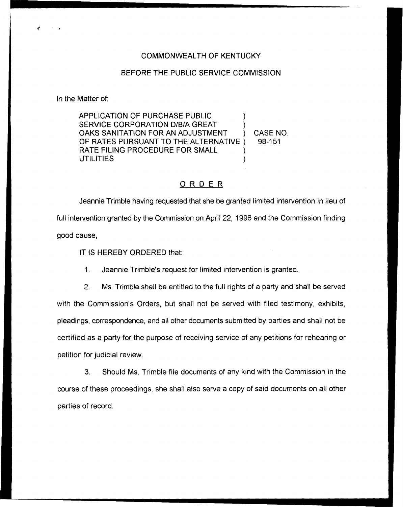## COMMONWEALTH OF KENTUCKY

## BEFORE THE PUBLIC SERVICE COMMISSION

In the Matter of:

APPLICATION OF PURCHASE PUBLIC SERVICE CORPORATION D/B/A GREAT OAKS SANITATION FOR AN ADJUSTMENT (CASE NO.<br>OF RATES PURSUANT TO THE ALTERNATIVE (698-151) OF RATES PURSUANT TO THE ALTERNATIVE ) RATE FILING PROCEDURE FOR SMALL **UTILITIES** 

## ORDER

Jeannie Trimble having requested that she be granted limited intervention in lieu of full intervention granted by the Commission on April 22, 1998 and the Commission finding good cause,

IT IS HEREBY ORDERED that:

1. Jeannie Trimble's request for limited intervention is granted.

2. Ms. Trimble shall be entitled to the full rights of a party and shall be served with the Commission's Orders, but shall not be served with filed testimony, exhibits, pleadings, correspondence, and all other documents submitted by parties and shall not be certified as a party for the purpose of receiving service of any petitions for rehearing or petition for judicial review.

3. Should Ms. Trimble file documents of any kind with the Commission in the course of these proceedings, she shalt also serve a copy of said documents on all other parties of record.